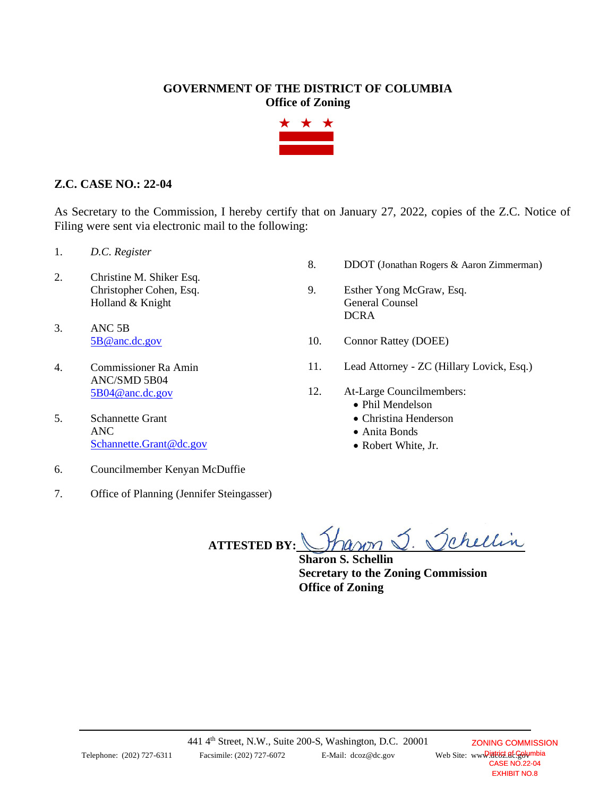## **GOVERNMENT OF THE DISTRICT OF COLUMBIA Office of Zoning**



## **Z.C. CASE NO.: 22-04**

As Secretary to the Commission, I hereby certify that on January 27, 2022, copies of the Z.C. Notice of Filing were sent via electronic mail to the following:

- 1. *D.C. Register*
- 2. Christine M. Shiker Esq. Christopher Cohen, Esq. Holland & Knight
- 3. ANC 5B [5B@anc.dc.gov](mailto:5B@anc.dc.gov)
- 4. Commissioner Ra Amin ANC/SMD 5B04 [5B04@anc.dc.gov](mailto:5B04@anc.dc.gov)
- 5. Schannette Grant ANC [Schannette.Grant@dc.gov](mailto:Schannette.Grant@dc.gov)
- 6. Councilmember Kenyan McDuffie
- 7. Office of Planning (Jennifer Steingasser)
- 8. DDOT (Jonathan Rogers & Aaron Zimmerman)
- 9. Esther Yong McGraw, Esq. General Counsel **DCRA**
- 10. Connor Rattey (DOEE)
- 11. Lead Attorney ZC (Hillary Lovick, Esq.)
- 12. At-Large Councilmembers:
	- Phil Mendelson
	- Christina Henderson
	- Anita Bonds
	- Robert White, Jr.

ranon . Schellin **ATTESTED BY:**

**Sharon S. Schellin Secretary to the Zoning Commission Office of Zoning**